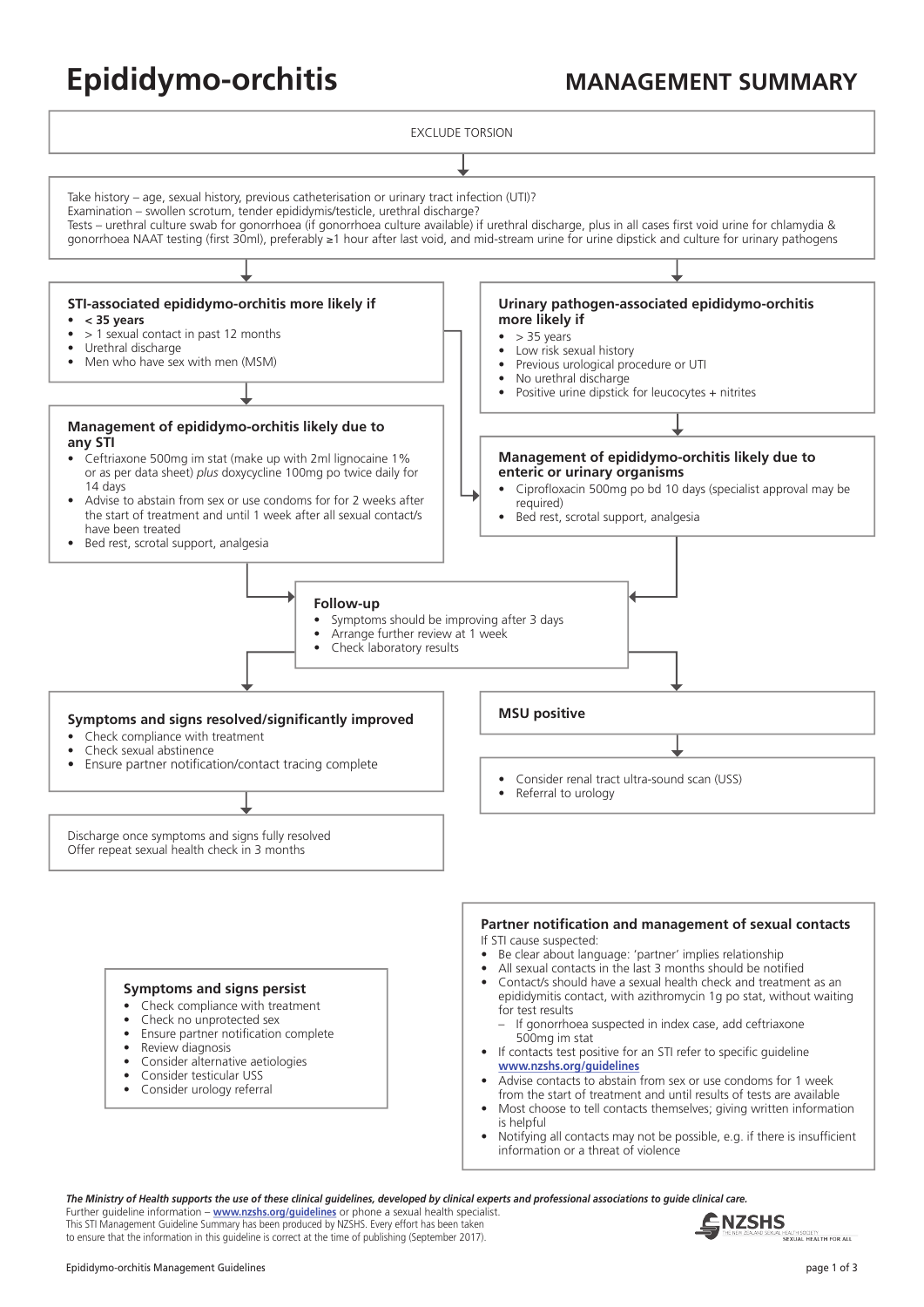# **Epididymo-orchitis MANAGEMENT SUMMARY**

EXCLUDE TORSION



Further guideline information – **[www.nzshs.org/](http://www.nzshs.org/guidelines)guidelines** or phone a sexual health specialist. This STI Management Guideline Summary has been produced by NZSHS. Every effort has been taken to ensure that the information in this guideline is correct at the time of publishing (September 2017).

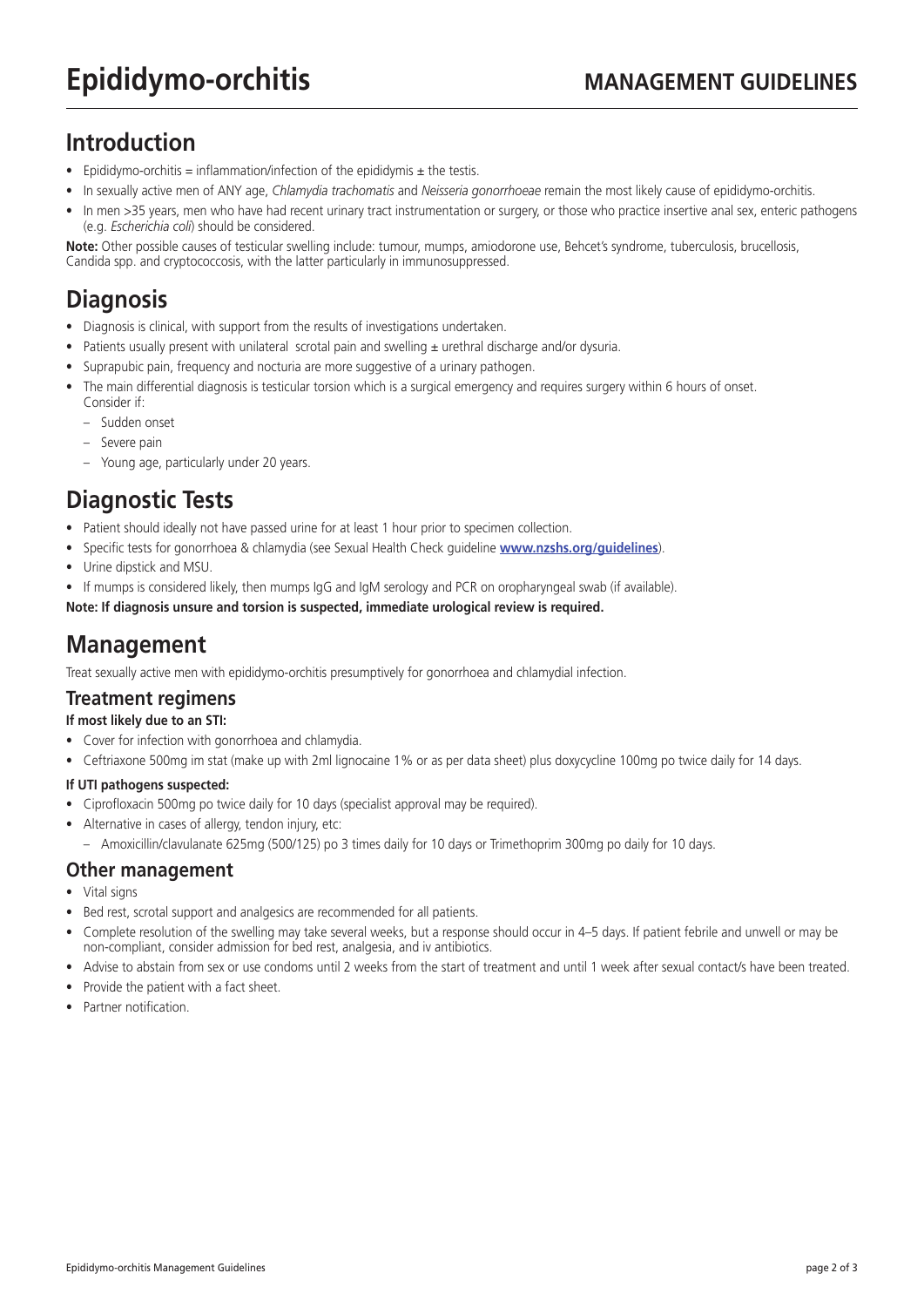## **Introduction**

- Epididymo-orchitis = inflammation/infection of the epididymis  $\pm$  the testis.
- In sexually active men of ANY age, *Chlamydia trachomatis* and *Neisseria gonorrhoeae* remain the most likely cause of epididymo-orchitis.
- In men >35 years, men who have had recent urinary tract instrumentation or surgery, or those who practice insertive anal sex, enteric pathogens (e.g. *Escherichia coli*) should be considered.

**Note:** Other possible causes of testicular swelling include: tumour, mumps, amiodorone use, Behcet's syndrome, tuberculosis, brucellosis, Candida spp. and cryptococcosis, with the latter particularly in immunosuppressed.

# **Diagnosis**

- Diagnosis is clinical, with support from the results of investigations undertaken.
- Patients usually present with unilateral scrotal pain and swelling ± urethral discharge and/or dysuria.
- Suprapubic pain, frequency and nocturia are more suggestive of a urinary pathogen.
- The main differential diagnosis is testicular torsion which is a surgical emergency and requires surgery within 6 hours of onset. Consider if:
	- Sudden onset
	- Severe pain
	- Young age, particularly under 20 years.

### **Diagnostic Tests**

- Patient should ideally not have passed urine for at least 1 hour prior to specimen collection.
- Specific tests for gonorrhoea & chlamydia (see Sexual Health Check guideline **[www.nzshs.org/guidelines](http://www.nzshs.org/guidelines)**).
- Urine dipstick and MSU.
- If mumps is considered likely, then mumps IgG and IgM serology and PCR on oropharyngeal swab (if available).

**Note: If diagnosis unsure and torsion is suspected, immediate urological review is required.**

## **Management**

Treat sexually active men with epididymo-orchitis presumptively for gonorrhoea and chlamydial infection.

#### **Treatment regimens**

#### **If most likely due to an STI:**

- Cover for infection with gonorrhoea and chlamydia.
- Ceftriaxone 500mg im stat (make up with 2ml lignocaine 1% or as per data sheet) plus doxycycline 100mg po twice daily for 14 days.

#### **If UTI pathogens suspected:**

- Ciprofloxacin 500mg po twice daily for 10 days (specialist approval may be required).
- Alternative in cases of allergy, tendon injury, etc:
	- Amoxicillin/clavulanate 625mg (500/125) po 3 times daily for 10 days or Trimethoprim 300mg po daily for 10 days.

#### **Other management**

- Vital signs
- Bed rest, scrotal support and analgesics are recommended for all patients.
- Complete resolution of the swelling may take several weeks, but a response should occur in 4–5 days. If patient febrile and unwell or may be non-compliant, consider admission for bed rest, analgesia, and iv antibiotics.
- Advise to abstain from sex or use condoms until 2 weeks from the start of treatment and until 1 week after sexual contact/s have been treated.
- Provide the patient with a fact sheet.
- Partner notification.